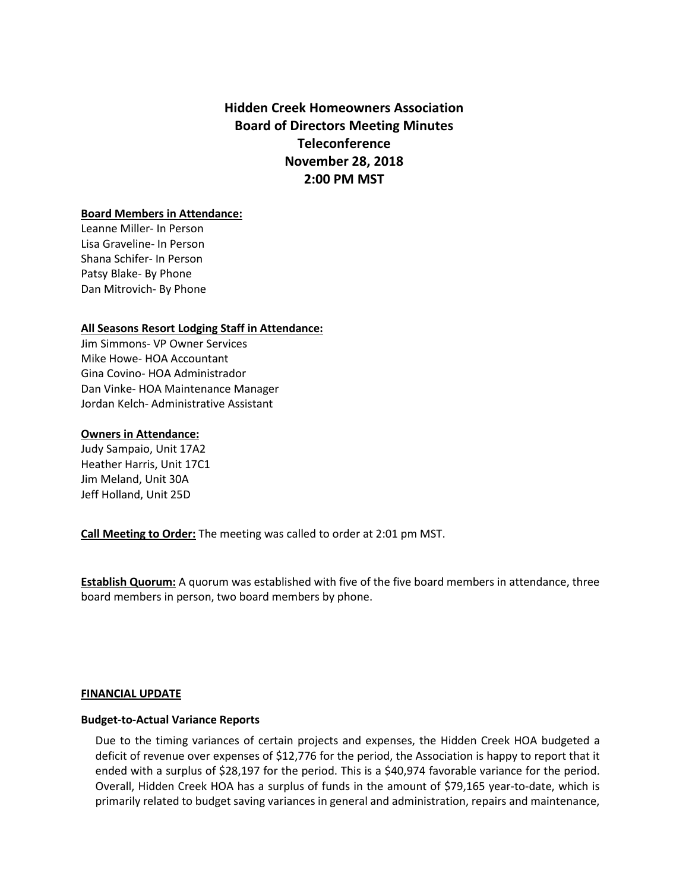**Hidden Creek Homeowners Association Board of Directors Meeting Minutes Teleconference November 28, 2018 2:00 PM MST**

### **Board Members in Attendance:**

Leanne Miller- In Person Lisa Graveline- In Person Shana Schifer- In Person Patsy Blake- By Phone Dan Mitrovich- By Phone

### **All Seasons Resort Lodging Staff in Attendance:**

Jim Simmons- VP Owner Services Mike Howe- HOA Accountant Gina Covino- HOA Administrador Dan Vinke- HOA Maintenance Manager Jordan Kelch- Administrative Assistant

### **Owners in Attendance:**

Judy Sampaio, Unit 17A2 Heather Harris, Unit 17C1 Jim Meland, Unit 30A Jeff Holland, Unit 25D

**Call Meeting to Order:** The meeting was called to order at 2:01 pm MST.

**Establish Quorum:** A quorum was established with five of the five board members in attendance, three board members in person, two board members by phone.

### **FINANCIAL UPDATE**

### **Budget-to-Actual Variance Reports**

Due to the timing variances of certain projects and expenses, the Hidden Creek HOA budgeted a deficit of revenue over expenses of \$12,776 for the period, the Association is happy to report that it ended with a surplus of \$28,197 for the period. This is a \$40,974 favorable variance for the period. Overall, Hidden Creek HOA has a surplus of funds in the amount of \$79,165 year-to-date, which is primarily related to budget saving variances in general and administration, repairs and maintenance,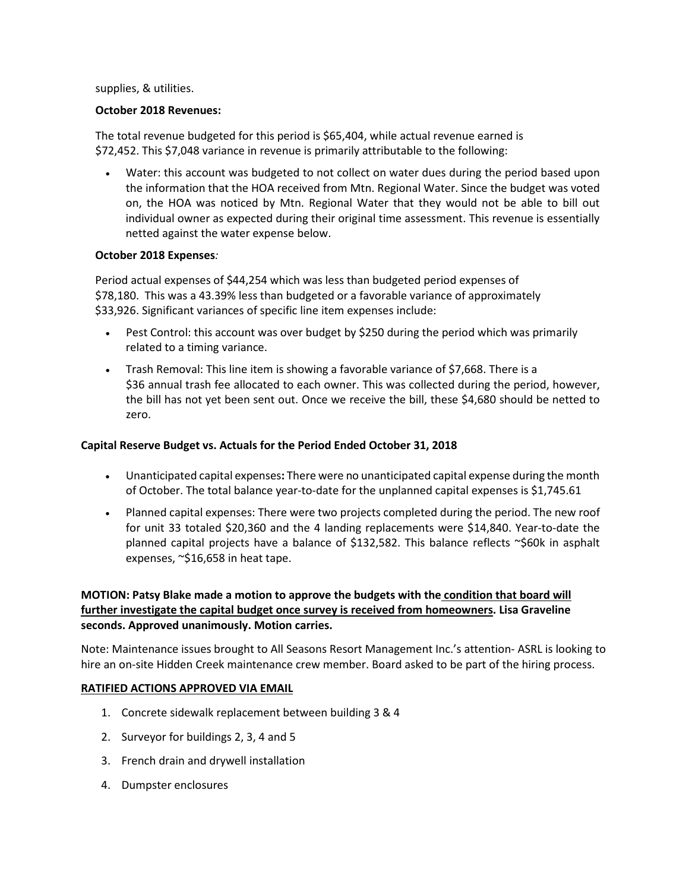### supplies, & utilities.

### **October 2018 Revenues:**

The total revenue budgeted for this period is \$65,404, while actual revenue earned is \$72,452. This \$7,048 variance in revenue is primarily attributable to the following:

• Water: this account was budgeted to not collect on water dues during the period based upon the information that the HOA received from Mtn. Regional Water. Since the budget was voted on, the HOA was noticed by Mtn. Regional Water that they would not be able to bill out individual owner as expected during their original time assessment. This revenue is essentially netted against the water expense below.

### **October 2018 Expenses***:*

Period actual expenses of \$44,254 which was less than budgeted period expenses of \$78,180. This was a 43.39% less than budgeted or a favorable variance of approximately \$33,926. Significant variances of specific line item expenses include:

- Pest Control: this account was over budget by \$250 during the period which was primarily related to a timing variance.
- Trash Removal: This line item is showing a favorable variance of \$7,668. There is a \$36 annual trash fee allocated to each owner. This was collected during the period, however, the bill has not yet been sent out. Once we receive the bill, these \$4,680 should be netted to zero.

# **Capital Reserve Budget vs. Actuals for the Period Ended October 31, 2018**

- Unanticipated capital expenses**:** There were no unanticipated capital expense during the month of October. The total balance year-to-date for the unplanned capital expenses is \$1,745.61
- Planned capital expenses: There were two projects completed during the period. The new roof for unit 33 totaled \$20,360 and the 4 landing replacements were \$14,840. Year-to-date the planned capital projects have a balance of \$132,582. This balance reflects  $\sim$ \$60k in asphalt expenses, ~\$16,658 in heat tape.

# **MOTION: Patsy Blake made a motion to approve the budgets with the condition that board will further investigate the capital budget once survey is received from homeowners. Lisa Graveline seconds. Approved unanimously. Motion carries.**

Note: Maintenance issues brought to All Seasons Resort Management Inc.'s attention- ASRL is looking to hire an on-site Hidden Creek maintenance crew member. Board asked to be part of the hiring process.

### **RATIFIED ACTIONS APPROVED VIA EMAIL**

- 1. Concrete sidewalk replacement between building 3 & 4
- 2. Surveyor for buildings 2, 3, 4 and 5
- 3. French drain and drywell installation
- 4. Dumpster enclosures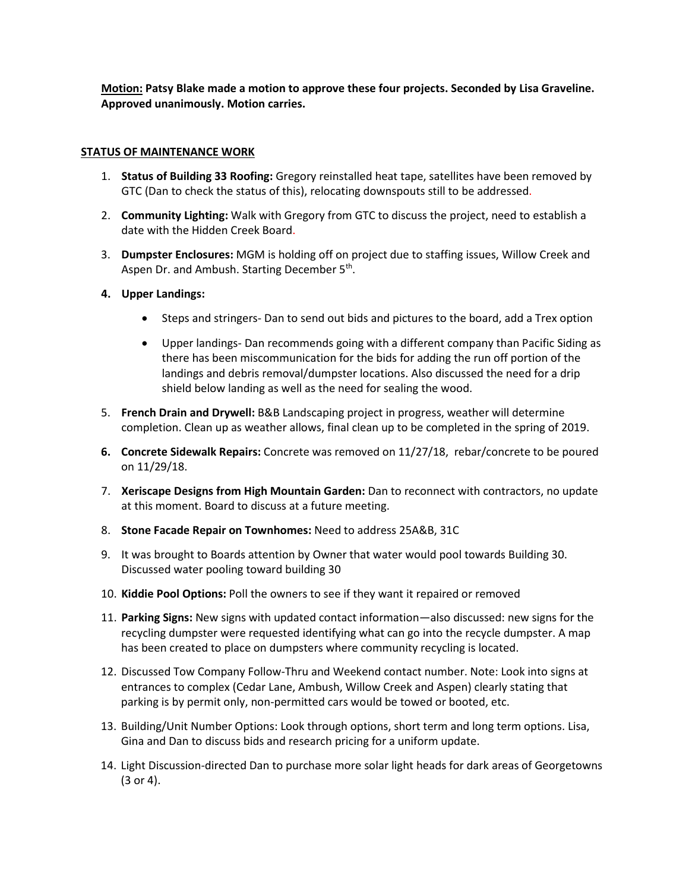**Motion: Patsy Blake made a motion to approve these four projects. Seconded by Lisa Graveline. Approved unanimously. Motion carries.**

## **STATUS OF MAINTENANCE WORK**

- 1. **Status of Building 33 Roofing:** Gregory reinstalled heat tape, satellites have been removed by GTC (Dan to check the status of this), relocating downspouts still to be addressed.
- 2. **Community Lighting:** Walk with Gregory from GTC to discuss the project, need to establish a date with the Hidden Creek Board.
- 3. **Dumpster Enclosures:** MGM is holding off on project due to staffing issues, Willow Creek and Aspen Dr. and Ambush. Starting December 5<sup>th</sup>.
- **4. Upper Landings:**
	- Steps and stringers- Dan to send out bids and pictures to the board, add a Trex option
	- Upper landings- Dan recommends going with a different company than Pacific Siding as there has been miscommunication for the bids for adding the run off portion of the landings and debris removal/dumpster locations. Also discussed the need for a drip shield below landing as well as the need for sealing the wood.
- 5. **French Drain and Drywell:** B&B Landscaping project in progress, weather will determine completion. Clean up as weather allows, final clean up to be completed in the spring of 2019.
- **6. Concrete Sidewalk Repairs:** Concrete was removed on 11/27/18, rebar/concrete to be poured on 11/29/18.
- 7. **Xeriscape Designs from High Mountain Garden:** Dan to reconnect with contractors, no update at this moment. Board to discuss at a future meeting.
- 8. **Stone Facade Repair on Townhomes:** Need to address 25A&B, 31C
- 9. It was brought to Boards attention by Owner that water would pool towards Building 30. Discussed water pooling toward building 30
- 10. **Kiddie Pool Options:** Poll the owners to see if they want it repaired or removed
- 11. **Parking Signs:** New signs with updated contact information—also discussed: new signs for the recycling dumpster were requested identifying what can go into the recycle dumpster. A map has been created to place on dumpsters where community recycling is located.
- 12. Discussed Tow Company Follow-Thru and Weekend contact number. Note: Look into signs at entrances to complex (Cedar Lane, Ambush, Willow Creek and Aspen) clearly stating that parking is by permit only, non-permitted cars would be towed or booted, etc.
- 13. Building/Unit Number Options: Look through options, short term and long term options. Lisa, Gina and Dan to discuss bids and research pricing for a uniform update.
- 14. Light Discussion-directed Dan to purchase more solar light heads for dark areas of Georgetowns (3 or 4).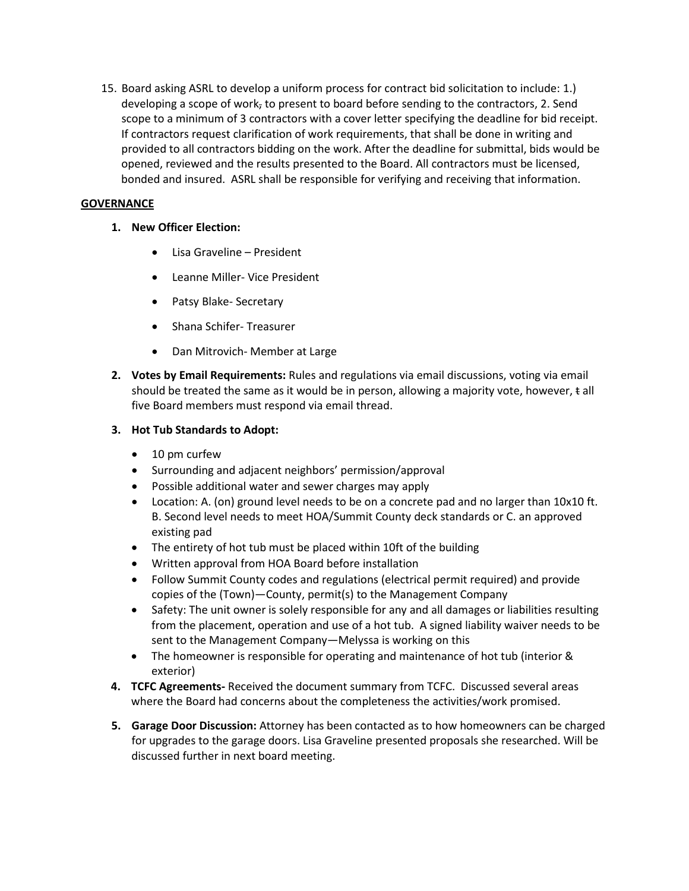15. Board asking ASRL to develop a uniform process for contract bid solicitation to include: 1.) developing a scope of work, to present to board before sending to the contractors, 2. Send scope to a minimum of 3 contractors with a cover letter specifying the deadline for bid receipt. If contractors request clarification of work requirements, that shall be done in writing and provided to all contractors bidding on the work. After the deadline for submittal, bids would be opened, reviewed and the results presented to the Board. All contractors must be licensed, bonded and insured. ASRL shall be responsible for verifying and receiving that information.

# **GOVERNANCE**

- **1. New Officer Election:**
	- Lisa Graveline President
	- Leanne Miller- Vice President
	- Patsy Blake- Secretary
	- Shana Schifer- Treasurer
	- Dan Mitrovich- Member at Large
- **2. Votes by Email Requirements:** Rules and regulations via email discussions, voting via email should be treated the same as it would be in person, allowing a majority vote, however, t all five Board members must respond via email thread.

# **3. Hot Tub Standards to Adopt:**

- 10 pm curfew
- Surrounding and adjacent neighbors' permission/approval
- Possible additional water and sewer charges may apply
- Location: A. (on) ground level needs to be on a concrete pad and no larger than 10x10 ft. B. Second level needs to meet HOA/Summit County deck standards or C. an approved existing pad
- The entirety of hot tub must be placed within 10ft of the building
- Written approval from HOA Board before installation
- Follow Summit County codes and regulations (electrical permit required) and provide copies of the (Town)—County, permit(s) to the Management Company
- Safety: The unit owner is solely responsible for any and all damages or liabilities resulting from the placement, operation and use of a hot tub. A signed liability waiver needs to be sent to the Management Company—Melyssa is working on this
- The homeowner is responsible for operating and maintenance of hot tub (interior & exterior)
- **4. TCFC Agreements-** Received the document summary from TCFC. Discussed several areas where the Board had concerns about the completeness the activities/work promised.
- **5. Garage Door Discussion:** Attorney has been contacted as to how homeowners can be charged for upgrades to the garage doors. Lisa Graveline presented proposals she researched. Will be discussed further in next board meeting.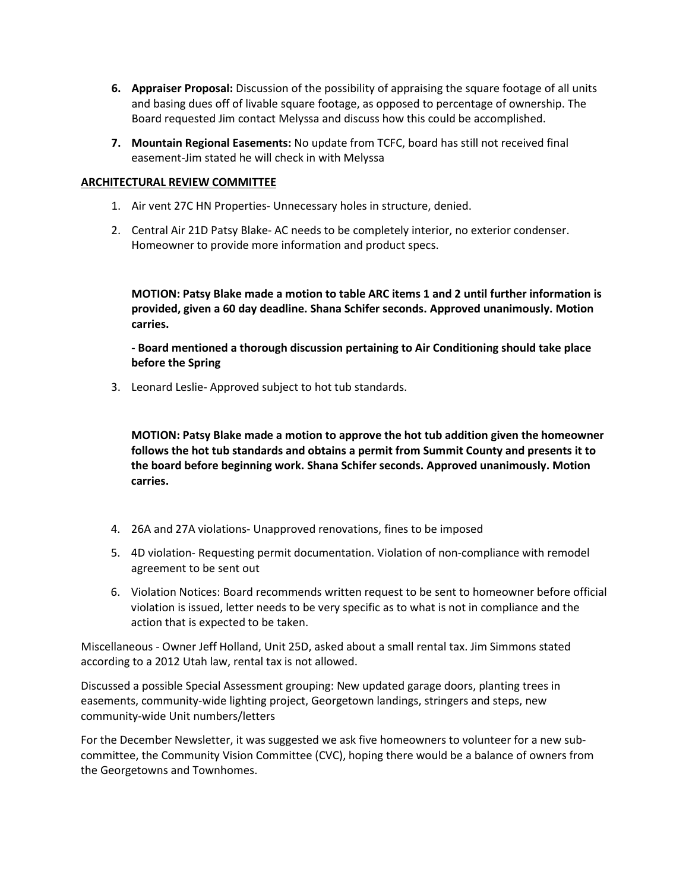- **6. Appraiser Proposal:** Discussion of the possibility of appraising the square footage of all units and basing dues off of livable square footage, as opposed to percentage of ownership. The Board requested Jim contact Melyssa and discuss how this could be accomplished.
- **7. Mountain Regional Easements:** No update from TCFC, board has still not received final easement-Jim stated he will check in with Melyssa

### **ARCHITECTURAL REVIEW COMMITTEE**

- 1. Air vent 27C HN Properties- Unnecessary holes in structure, denied.
- 2. Central Air 21D Patsy Blake- AC needs to be completely interior, no exterior condenser. Homeowner to provide more information and product specs.

**MOTION: Patsy Blake made a motion to table ARC items 1 and 2 until further information is provided, given a 60 day deadline. Shana Schifer seconds. Approved unanimously. Motion carries.**

**- Board mentioned a thorough discussion pertaining to Air Conditioning should take place before the Spring**

3. Leonard Leslie- Approved subject to hot tub standards.

**MOTION: Patsy Blake made a motion to approve the hot tub addition given the homeowner follows the hot tub standards and obtains a permit from Summit County and presents it to the board before beginning work. Shana Schifer seconds. Approved unanimously. Motion carries.**

- 4. 26A and 27A violations- Unapproved renovations, fines to be imposed
- 5. 4D violation- Requesting permit documentation. Violation of non-compliance with remodel agreement to be sent out
- 6. Violation Notices: Board recommends written request to be sent to homeowner before official violation is issued, letter needs to be very specific as to what is not in compliance and the action that is expected to be taken.

Miscellaneous - Owner Jeff Holland, Unit 25D, asked about a small rental tax. Jim Simmons stated according to a 2012 Utah law, rental tax is not allowed.

Discussed a possible Special Assessment grouping: New updated garage doors, planting trees in easements, community-wide lighting project, Georgetown landings, stringers and steps, new community-wide Unit numbers/letters

For the December Newsletter, it was suggested we ask five homeowners to volunteer for a new subcommittee, the Community Vision Committee (CVC), hoping there would be a balance of owners from the Georgetowns and Townhomes.